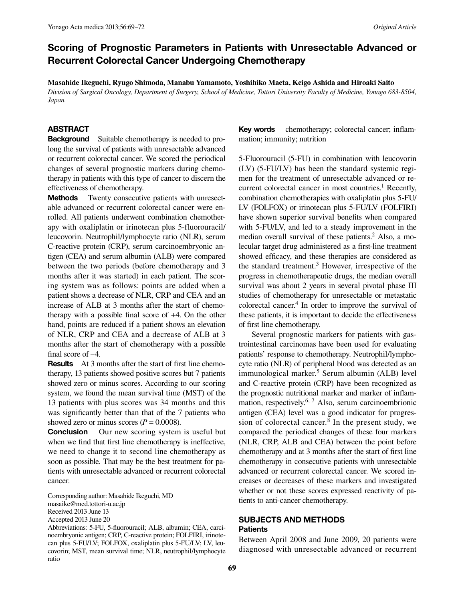# Scoring of Prognostic Parameters in Patients with Unresectable Advanced or Recurrent Colorectal Cancer Undergoing Chemotherapy

**Masahide Ikeguchi, Ryugo Shimoda, Manabu Yamamoto, Yoshihiko Maeta, Keigo Ashida and Hiroaki Saito**  *Division of Surgical Oncology, Department of Surgery, School of Medicine, Tottori University Faculty of Medicine, Yonago 683-8504, Japan*

### ABSTRACT

Background Suitable chemotherapy is needed to prolong the survival of patients with unresectable advanced or recurrent colorectal cancer. We scored the periodical changes of several prognostic markers during chemotherapy in patients with this type of cancer to discern the effectiveness of chemotherapy.

MethodsTwenty consecutive patients with unresectable advanced or recurrent colorectal cancer were enrolled. All patients underwent combination chemotherapy with oxaliplatin or irinotecan plus 5-fluorouracil/ leucovorin. Neutrophil/lymphocyte ratio (NLR), serum C-reactive protein (CRP), serum carcinoembryonic antigen (CEA) and serum albumin (ALB) were compared between the two periods (before chemotherapy and 3 months after it was started) in each patient. The scoring system was as follows: points are added when a patient shows a decrease of NLR, CRP and CEA and an increase of ALB at 3 months after the start of chemotherapy with a possible final score of +4. On the other hand, points are reduced if a patient shows an elevation of NLR, CRP and CEA and a decrease of ALB at 3 months after the start of chemotherapy with a possible final score of –4.

ResultsAt 3 months after the start of first line chemotherapy, 13 patients showed positive scores but 7 patients showed zero or minus scores. According to our scoring system, we found the mean survival time (MST) of the 13 patients with plus scores was 34 months and this was significantly better than that of the 7 patients who showed zero or minus scores  $(P = 0.0008)$ .

**Conclusion** Our new scoring system is useful but when we find that first line chemotherapy is ineffective, we need to change it to second line chemotherapy as soon as possible. That may be the best treatment for patients with unresectable advanced or recurrent colorectal cancer.

Corresponding author: Masahide Ikeguchi, MD masaike@med.tottori-u.ac.jp

Received 2013 June 13

Accepted 2013 June 20

Abbreviations: 5-FU, 5-fluorouracil; ALB, albumin; CEA, carcinoembryonic antigen; CRP, C-reactive protein; FOLFIRI, irinotecan plus 5-FU/LV; FOLFOX, oxaliplatin plus 5-FU/LV; LV, leucovorin; MST, mean survival time; NLR, neutrophil/lymphocyte ratio

Key words chemotherapy; colorectal cancer; inflammation; immunity; nutrition

5-Fluorouracil (5-FU) in combination with leucovorin (LV) (5-FU/LV) has been the standard systemic regimen for the treatment of unresectable advanced or recurrent colorectal cancer in most countries.<sup>1</sup> Recently, combination chemotherapies with oxaliplatin plus 5-FU/ LV (FOLFOX) or irinotecan plus 5-FU/LV (FOLFIRI) have shown superior survival benefits when compared with 5-FU/LV, and led to a steady improvement in the median overall survival of these patients.<sup>2</sup> Also, a molecular target drug administered as a first-line treatment showed efficacy, and these therapies are considered as the standard treatment.<sup>3</sup> However, irrespective of the progress in chemotherapeutic drugs, the median overall survival was about 2 years in several pivotal phase III studies of chemotherapy for unresectable or metastatic colorectal cancer.4 In order to improve the survival of these patients, it is important to decide the effectiveness of first line chemotherapy.

 Several prognostic markers for patients with gastrointestinal carcinomas have been used for evaluating patients' response to chemotherapy. Neutrophil/lymphocyte ratio (NLR) of peripheral blood was detected as an immunological marker.<sup>5</sup> Serum albumin (ALB) level and C-reactive protein (CRP) have been recognized as the prognostic nutritional marker and marker of inflammation, respectively.<sup>6, 7</sup> Also, serum carcinoembrionic antigen (CEA) level was a good indicator for progression of colorectal cancer.<sup>8</sup> In the present study, we compared the periodical changes of these four markers (NLR, CRP, ALB and CEA) between the point before chemotherapy and at 3 months after the start of first line chemotherapy in consecutive patients with unresectable advanced or recurrent colorectal cancer. We scored increases or decreases of these markers and investigated whether or not these scores expressed reactivity of patients to anti-cancer chemotherapy.

### SUBJECTS AND METHODS **Patients**

Between April 2008 and June 2009, 20 patients were diagnosed with unresectable advanced or recurrent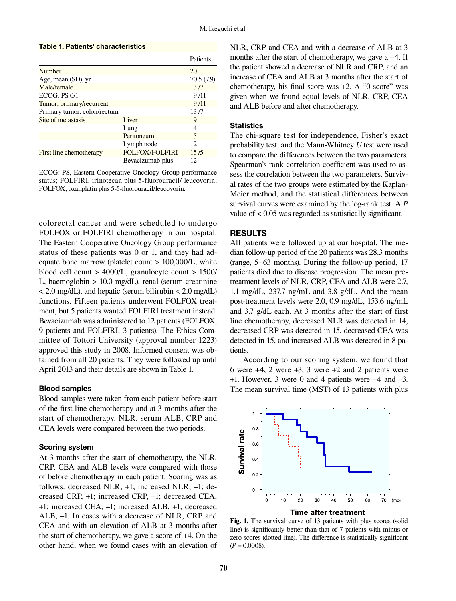## Table 1. Patients' characteristics

|                             |                       | Patients  |
|-----------------------------|-----------------------|-----------|
| Number                      |                       | 20        |
| Age, mean (SD), yr          |                       | 70.5(7.9) |
| Male/female                 |                       | 13/7      |
| ECOG: PS 0/1                |                       | 9/11      |
| Tumor: primary/recurrent    |                       | 9/11      |
| Primary tumor: colon/rectum |                       | 13/7      |
| Site of metastasis          | Liver                 | 9         |
|                             | Lung                  | 4         |
|                             | Peritoneum            | 5         |
|                             | Lymph node            | 2         |
| First line chemotherapy     | <b>FOLFOX/FOLFIRI</b> | 15/5      |
|                             | Bevacizumab plus      | 12.       |

ECOG: PS, Eastern Cooperative Oncology Group performance status; FOLFIRI, irinotecan plus 5-fluorouracil/ leucovorin; FOLFOX, oxaliplatin plus 5-5-fluorouracil/leucovorin.

colorectal cancer and were scheduled to undergo FOLFOX or FOLFIRI chemotherapy in our hospital. The Eastern Cooperative Oncology Group performance status of these patients was 0 or 1, and they had adequate bone marrow (platelet count > 100,000/L, white blood cell count > 4000/L, granulocyte count > 1500/ L, haemoglobin > 10.0 mg/dL), renal (serum creatinine  $< 2.0$  mg/dL), and hepatic (serum bilirubin  $< 2.0$  mg/dL) functions. Fifteen patients underwent FOLFOX treatment, but 5 patients wanted FOLFIRI treatment instead. Bevacizumab was administered to 12 patients (FOLFOX, 9 patients and FOLFIRI, 3 patients). The Ethics Committee of Tottori University (approval number 1223) approved this study in 2008. Informed consent was obtained from all 20 patients. They were followed up until April 2013 and their details are shown in Table 1.

### Blood samples

Blood samples were taken from each patient before start of the first line chemotherapy and at 3 months after the start of chemotherapy. NLR, serum ALB, CRP and CEA levels were compared between the two periods.

### Scoring system

At 3 months after the start of chemotherapy, the NLR, CRP, CEA and ALB levels were compared with those of before chemotherapy in each patient. Scoring was as follows: decreased NLR, +1; increased NLR, –1; decreased CRP, +1; increased CRP, –1; decreased CEA, +1; increased CEA, –1; increased ALB, +1; decreased ALB, –1. In cases with a decrease of NLR, CRP and CEA and with an elevation of ALB at 3 months after the start of chemotherapy, we gave a score of +4. On the other hand, when we found cases with an elevation of

NLR, CRP and CEA and with a decrease of ALB at 3 months after the start of chemotherapy, we gave a –4. If the patient showed a decrease of NLR and CRP, and an increase of CEA and ALB at 3 months after the start of chemotherapy, his final score was +2. A "0 score" was given when we found equal levels of NLR, CRP, CEA and ALB before and after chemotherapy.

#### **Statistics**

The chi-square test for independence, Fisher's exact probability test, and the Mann-Whitney *U* test were used to compare the differences between the two parameters. Spearman's rank correlation coefficient was used to assess the correlation between the two parameters. Survival rates of the two groups were estimated by the Kaplan-Meier method, and the statistical differences between survival curves were examined by the log-rank test. A *P* value of < 0.05 was regarded as statistically significant.

# RESULTS

All patients were followed up at our hospital. The median follow-up period of the 20 patients was 28.3 months (range, 5–63 months). During the follow-up period, 17 patients died due to disease progression. The mean pretreatment levels of NLR, CRP, CEA and ALB were 2.7, 1.1 mg/dL, 237.7 ng/mL and 3.8 g/dL. And the mean post-treatment levels were 2.0, 0.9 mg/dL, 153.6 ng/mL and 3.7 g/dL each. At 3 months after the start of first line chemotherapy, decreased NLR was detected in 14, decreased CRP was detected in 15, decreased CEA was detected in 15, and increased ALB was detected in 8 patients.

 According to our scoring system, we found that 6 were +4, 2 were +3, 3 were +2 and 2 patients were  $+1$ . However, 3 were 0 and 4 patients were  $-4$  and  $-3$ . The mean survival time (MST) of 13 patients with plus



**Fig. 1.** The survival curve of 13 patients with plus scores (solid line) is significantly better than that of 7 patients with minus or zero scores (dotted line). The difference is statistically significant  $(P = 0.0008)$ .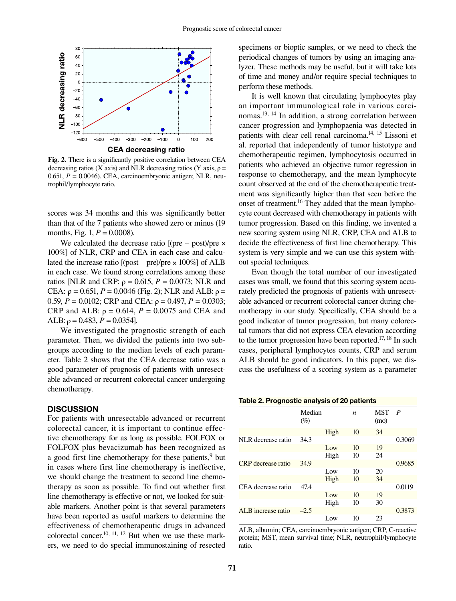

**Fig. 2.** There is a significantly positive correlation between CEA decreasing ratios (X axis) and NLR decreasing ratios (Y axis,  $\rho =$ 0.651, *P* = 0.0046). CEA, carcinoembryonic antigen; NLR, neutrophil/lymphocyte ratio.

scores was 34 months and this was significantly better than that of the 7 patients who showed zero or minus (19 months, Fig. 1,  $P = 0.0008$ .

We calculated the decrease ratio  $[$ (pre – post)/pre  $\times$ 100%] of NLR, CRP and CEA in each case and calculated the increase ratio  $[(post - pre)/pre \times 100\%]$  of ALB in each case. We found strong correlations among these ratios [NLR and CRP:  $\rho = 0.615$ ,  $P = 0.0073$ ; NLR and CEA:  $ρ = 0.651$ ,  $P = 0.0046$  (Fig. 2); NLR and ALB:  $ρ =$ 0.59,  $P = 0.0102$ ; CRP and CEA:  $\rho = 0.497$ ,  $P = 0.0303$ ; CRP and ALB:  $\rho = 0.614$ ,  $P = 0.0075$  and CEA and ALB:  $\rho = 0.483$ ,  $P = 0.0354$ .

 We investigated the prognostic strength of each parameter. Then, we divided the patients into two subgroups according to the median levels of each parameter. Table 2 shows that the CEA decrease ratio was a good parameter of prognosis of patients with unresectable advanced or recurrent colorectal cancer undergoing chemotherapy.

## **DISCUSSION**

For patients with unresectable advanced or recurrent colorectal cancer, it is important to continue effective chemotherapy for as long as possible. FOLFOX or FOLFOX plus bevacizumab has been recognized as a good first line chemotherapy for these patients, $9$  but in cases where first line chemotherapy is ineffective, we should change the treatment to second line chemotherapy as soon as possible. To find out whether first line chemotherapy is effective or not, we looked for suitable markers. Another point is that several parameters have been reported as useful markers to determine the effectiveness of chemotherapeutic drugs in advanced colorectal cancer.<sup>10, 11, 12</sup> But when we use these markers, we need to do special immunostaining of resected specimens or bioptic samples, or we need to check the periodical changes of tumors by using an imaging analyzer. These methods may be useful, but it will take lots of time and money and/or require special techniques to perform these methods.

 It is well known that circulating lymphocytes play an important immunological role in various carcinomas.13, 14 In addition, a strong correlation between cancer progression and lymphopaenia was detected in patients with clear cell renal carcinoma.14, 15 Lissoni et al. reported that independently of tumor histotype and chemotherapeutic regimen, lymphocytosis occurred in patients who achieved an objective tumor regression in response to chemotherapy, and the mean lymphocyte count observed at the end of the chemotherapeutic treatment was significantly higher than that seen before the onset of treatment.<sup>16</sup> They added that the mean lymphocyte count decreased with chemotherapy in patients with tumor progression. Based on this finding, we invented a new scoring system using NLR, CRP, CEA and ALB to decide the effectiveness of first line chemotherapy. This system is very simple and we can use this system without special techniques.

 Even though the total number of our investigated cases was small, we found that this scoring system accurately predicted the prognosis of patients with unresectable advanced or recurrent colorectal cancer during chemotherapy in our study. Specifically, CEA should be a good indicator of tumor progression, but many colorectal tumors that did not express CEA elevation according to the tumor progression have been reported.<sup>17, 18</sup> In such cases, peripheral lymphocytes counts, CRP and serum ALB should be good indicators. In this paper, we discuss the usefulness of a scoring system as a parameter

| Table 2. Prognostic analysis of 20 patients |  |  |  |  |  |
|---------------------------------------------|--|--|--|--|--|
|---------------------------------------------|--|--|--|--|--|

|                           | Median<br>(%) |      | n  | MST<br>(mo) | P      |
|---------------------------|---------------|------|----|-------------|--------|
|                           |               | High | 10 | 34          |        |
| NLR decrease ratio        | 34.3          |      |    |             | 0.3069 |
|                           |               | Low  | 10 | 19          |        |
|                           |               | High | 10 | 24          |        |
| <b>CRP</b> decrease ratio | 34.9          |      |    |             | 0.9685 |
|                           |               | Low  | 10 | 20          |        |
|                           |               | High | 10 | 34          |        |
| CEA decrease ratio        | 47.4          |      |    |             | 0.0119 |
|                           |               | Low  | 10 | 19          |        |
|                           |               | High | 10 | 30          |        |
| ALB increase ratio        | $-2.5$        |      |    |             | 0.3873 |
|                           |               | Low  | 10 | 23          |        |

ALB, albumin; CEA, carcinoembryonic antigen; CRP, C-reactive protein; MST, mean survival time; NLR, neutrophil/lymphocyte ratio.